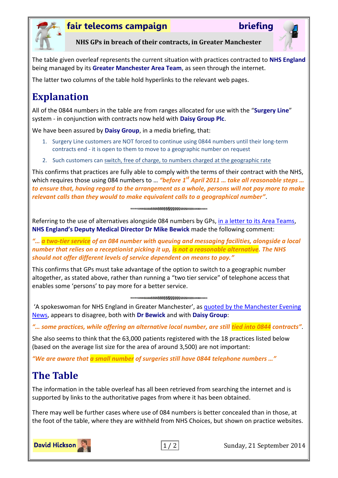

### **fair telecoms campaign briefing**



**NHS GPs in breach of their contracts, in Greater Manchester**

The table given overleaf represents the current situation with practices contracted to **NHS England** being managed by its **Greater Manchester Area Team**, as seen through the internet.

The latter two columns of the table hold hyperlinks to the relevant web pages.

# **Explanation**

All of the 0844 numbers in the table are from ranges allocated for use with the "**Surgery Line**" system - in conjunction with contracts now held with **Daisy Group Plc**.

We have been assured by **Daisy Group**, in a media briefing, that:

- 1. Surgery Line customers are NOT forced to continue using 0844 numbers until their long-term contracts end - it is open to them to move to a geographic number on request
- 2. Such customers can switch, free of charge, to numbers charged at the geographic rate

This confirms that practices are fully able to comply with the terms of their contract with the NHS, which requires those using 084 numbers to ... "before 1<sup>st</sup> April 2011 ... take all reasonable steps ... *to ensure that, having regard to the arrangement as a whole, persons will not pay more to make relevant calls than they would to make equivalent calls to a geographical number"*.

##\$\$\$\$\$\$\$\$\$\$\$\$\$\$\$\$\$\$\$\$\$\$\$\$\$\$\$\$\$###

Referring to the use of alternatives alongside 084 numbers by GPs, [in a letter to its Area Teams,](http://www.england.nhs.uk/2013/11/04/gps-084-num/) **NHS England's Deputy Medical Director Dr Mike Bewick** made the following comment:

*"… a two-tier service of an 084 number with queuing and messaging facilities, alongside a local number that relies on a receptionist picking it up, is not a reasonable alternative. The NHS should not offer different levels of service dependent on means to pay."*

This confirms that GPs must take advantage of the option to switch to a geographic number altogether, as stated above, rather than running a "two tier service" of telephone access that enables some 'persons' to pay more for a better service.

'A spokeswoman for NHS England in Greater Manchester', as [quoted by the Manchester Evening](http://www.manchestereveningnews.co.uk/news/greater-manchester-news/premium-rate-numbers-how-ringing-7781722)  [News,](http://www.manchestereveningnews.co.uk/news/greater-manchester-news/premium-rate-numbers-how-ringing-7781722) appears to disagree, both with **Dr Bewick** and with **Daisy Group**:

*"… some practices, while offering an alternative local number, are still tied into 0844 contracts"*.

She also seems to think that the 63,000 patients registered with the 18 practices listed below (based on the average list size for the area of around 3,500) are not important:

*"We are aware that a small number of surgeries still have 0844 telephone numbers …"*

# **The Table**

The information in the table overleaf has all been retrieved from searching the internet and is supported by links to the authoritative pages from where it has been obtained.

There may well be further cases where use of 084 numbers is better concealed than in those, at the foot of the table, where they are withheld from NHS Choices, but shown on practice websites.



1/2 Sunday, 21 September 2014